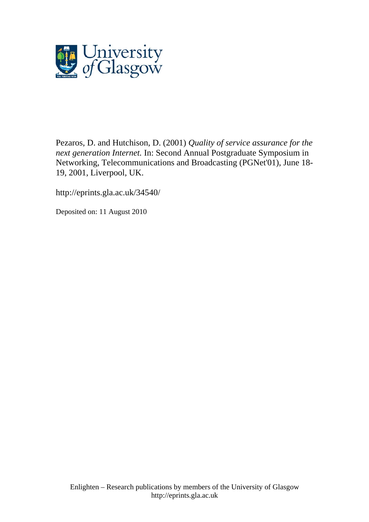

[Pezaros, D.](http://eprints.gla.ac.uk/view/author/5079.html) and Hutchison, D. (2001) *Quality of service assurance for the next generation Internet.* In: Second Annual Postgraduate Symposium in Networking, Telecommunications and Broadcasting (PGNet'01), June 18- 19, 2001, Liverpool, UK.

http://eprints.gla.ac.uk/34540/

Deposited on: 11 August 2010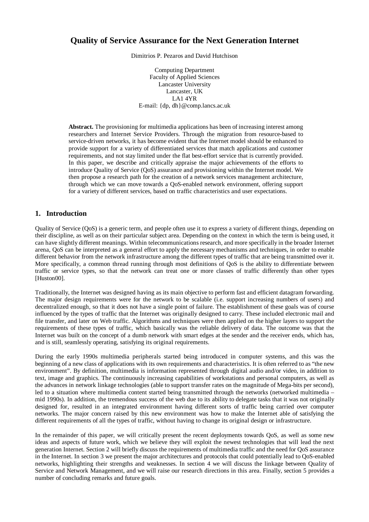# **Quality of Service Assurance for the Next Generation Internet**

Dimitrios P. Pezaros and David Hutchison

Computing Department Faculty of Applied Sciences Lancaster University Lancaster, UK LA1 4YR E-mail: {dp, dh}@comp.lancs.ac.uk

**Abstract.** The provisioning for multimedia applications has been of increasing interest among researchers and Internet Service Providers. Through the migration from resource-based to service-driven networks, it has become evident that the Internet model should be enhanced to provide support for a variety of differentiated services that match applications and customer requirements, and not stay limited under the flat best-effort service that is currently provided. In this paper, we describe and critically appraise the major achievements of the efforts to introduce Quality of Service (QoS) assurance and provisioning within the Internet model. We then propose a research path for the creation of a network services management architecture, through which we can move towards a QoS-enabled network environment, offering support for a variety of different services, based on traffic characteristics and user expectations.

## **1. Introduction**

Quality of Service (QoS) is a generic term, and people often use it to express a variety of different things, depending on their discipline, as well as on their particular subject area. Depending on the context in which the term is being used, it can have slightly different meanings. Within telecommunications research, and more specifically in the broader Internet arena, QoS can be interpreted as a general effort to apply the necessary mechanisms and techniques, in order to enable different behavior from the network infrastructure among the different types of traffic that are being transmitted over it. More specifically, a common thread running through most definitions of QoS is the ability to differentiate between traffic or service types, so that the network can treat one or more classes of traffic differently than other types [Huston00].

Traditionally, the Internet was designed having as its main objective to perform fast and efficient datagram forwarding. The major design requirements were for the network to be scalable (i.e. support increasing numbers of users) and decentralized enough, so that it does not have a single point of failure. The establishment of these goals was of course influenced by the types of traffic that the Internet was originally designed to carry. These included electronic mail and file transfer, and later on Web traffic. Algorithms and techniques were then applied on the higher layers to support the requirements of these types of traffic, which basically was the reliable delivery of data. The outcome was that the Internet was built on the concept of a dumb network with smart edges at the sender and the receiver ends, which has, and is still, seamlessly operating, satisfying its original requirements.

During the early 1990s multimedia peripherals started being introduced in computer systems, and this was the beginning of a new class of applications with its own requirements and characteristics. It is often referred to as "the new environment". By definition, multimedia is information represented through digital audio and/or video, in addition to text, image and graphics. The continuously increasing capabilities of workstations and personal computers, as well as the advances in network linkage technologies (able to support transfer rates on the magnitude of Mega-bits per second), led to a situation where multimedia content started being transmitted through the networks (networked multimedia – mid 1990s). In addition, the tremendous success of the web due to its ability to delegate tasks that it was not originally designed for, resulted in an integrated environment having different sorts of traffic being carried over computer networks. The major concern raised by this new environment was how to make the Internet able of satisfying the different requirements of all the types of traffic, without having to change its original design or infrastructure.

In the remainder of this paper, we will critically present the recent deployments towards QoS, as well as some new ideas and aspects of future work, which we believe they will exploit the newest technologies that will lead the next generation Internet. Section 2 will briefly discuss the requirements of multimedia traffic and the need for QoS assurance in the Internet. In section 3 we present the major architectures and protocols that could potentially lead to QoS-enabled networks, highlighting their strengths and weaknesses. In section 4 we will discuss the linkage between Quality of Service and Network Management, and we will raise our research directions in this area. Finally, section 5 provides a number of concluding remarks and future goals.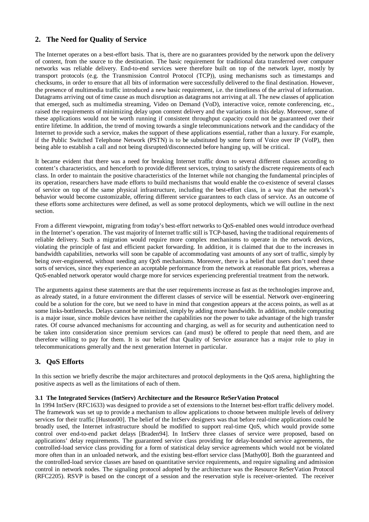## **2. The Need for Quality of Service**

The Internet operates on a best-effort basis. That is, there are no guarantees provided by the network upon the delivery of content, from the source to the destination. The basic requirement for traditional data transferred over computer networks was reliable delivery. End-to-end services were therefore built on top of the network layer, mostly by transport protocols (e.g. the Transmission Control Protocol (TCP)), using mechanisms such as timestamps and checksums, in order to ensure that all bits of information were successfully delivered to the final destination. However, the presence of multimedia traffic introduced a new basic requirement, i.e. the timeliness of the arrival of information. Datagrams arriving out of time cause as much disruption as datagrams not arriving at all. The new classes of application that emerged, such as multimedia streaming, Video on Demand (VoD), interactive voice, remote conferencing, etc., raised the requirements of minimizing delay upon content delivery and the variations in this delay. Moreover, some of these applications would not be worth running if consistent throughput capacity could not be guaranteed over their entire lifetime. In addition, the trend of moving towards a single telecommunications network and the candidacy of the Internet to provide such a service, makes the support of these applications essential, rather than a luxury. For example, if the Public Switched Telephone Network (PSTN) is to be substituted by some form of Voice over IP (VoIP), then being able to establish a call and not being disrupted/disconnected before hanging up, will be critical.

It became evident that there was a need for breaking Internet traffic down to several different classes according to content's characteristics, and henceforth to provide different services, trying to satisfy the discrete requirements of each class. In order to maintain the positive characteristics of the Internet while not changing the fundamental principles of its operation, researchers have made efforts to build mechanisms that would enable the co-existence of several classes of service on top of the same physical infrastructure, including the best-effort class, in a way that the network's behavior would become customizable, offering different service guarantees to each class of service. As an outcome of these efforts some architectures were defined, as well as some protocol deployments, which we will outline in the next section.

From a different viewpoint, migrating from today's best-effort networks to QoS-enabled ones would introduce overhead in the Internet's operation. The vast majority of Internet traffic still is TCP-based, having the traditional requirements of reliable delivery. Such a migration would require more complex mechanisms to operate in the network devices, violating the principle of fast and efficient packet forwarding. In addition, it is claimed that due to the increases in bandwidth capabilities, networks will soon be capable of accommodating vast amounts of any sort of traffic, simply by being over-engineered, without needing any QoS mechanisms. Moreover, there is a belief that users don't need these sorts of services, since they experience an acceptable performance from the network at reasonable flat prices, whereas a QoS-enabled network operator would charge more for services experiencing preferential treatment from the network.

The arguments against these statements are that the user requirements increase as fast as the technologies improve and, as already stated, in a future environment the different classes of service will be essential. Network over-engineering could be a solution for the core, but we need to have in mind that congestion appears at the access points, as well as at some links-bottlenecks. Delays cannot be minimized, simply by adding more bandwidth. In addition, mobile computing is a major issue, since mobile devices have neither the capabilities nor the power to take advantage of the high transfer rates. Of course advanced mechanisms for accounting and charging, as well as for security and authentication need to be taken into consideration since premium services can (and must) be offered to people that need them, and are therefore willing to pay for them. It is our belief that Quality of Service assurance has a major role to play in telecommunications generally and the next generation Internet in particular.

## **3. QoS Efforts**

In this section we briefly describe the major architectures and protocol deployments in the QoS arena, highlighting the positive aspects as well as the limitations of each of them.

#### **3.1 The Integrated Services (IntServ) Architecture and the Resource ReSerVation Protocol**

In 1994 IntServ (RFC1633) was designed to provide a set of extensions to the Internet best-effort traffic delivery model. The framework was set up to provide a mechanism to allow applications to choose between multiple levels of delivery services for their traffic [Huston00]. The belief of the IntServ designers was that before real-time applications could be broadly used, the Internet infrastructure should be modified to support real-time QoS, which would provide some control over end-to-end packet delays [Braden94]. In IntServ three classes of service were proposed, based on applications' delay requirements. The guaranteed service class providing for delay-bounded service agreements, the controlled-load service class providing for a form of statistical delay service agreements which would not be violated more often than in an unloaded network, and the existing best-effort service class [Mathy00]. Both the guaranteed and the controlled-load service classes are based on quantitative service requirements, and require signaling and admission control in network nodes. The signaling protocol adopted by the architecture was the Resource ReSerVation Protocol (RFC2205). RSVP is based on the concept of a session and the reservation style is receiver-oriented. The receiver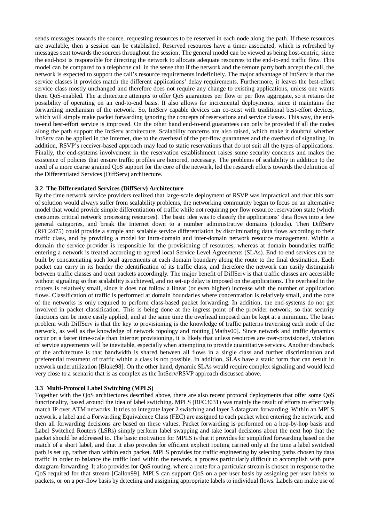sends messages towards the source, requesting resources to be reserved in each node along the path. If these resources are available, then a session can be established. Reserved resources have a timer associated, which is refreshed by messages sent towards the sources throughout the session. The general model can be viewed as being host-centric, since the end-host is responsible for directing the network to allocate adequate resources to the end-to-end traffic flow. This model can be compared to a telephone call in the sense that if the network and the remote party both accept the call, the network is expected to support the call's resource requirements indefinitely. The major advantage of IntServ is that the service classes it provides match the different applications' delay requirements. Furthermore, it leaves the best-effort service class mostly unchanged and therefore does not require any change to existing applications, unless one wants them QoS-enabled. The architecture attempts to offer QoS guarantees per flow or per flow aggregate, so it retains the possibility of operating on an end-to-end basis. It also allows for incremental deployments, since it maintains the forwarding mechanism of the network. So, IntServ capable devices can co-exist with traditional best-effort devices, which will simply make packet forwarding ignoring the concepts of reservations and service classes. This way, the endto-end best-effort service is improved. On the other hand end-to-end guarantees can only be provided if all the nodes along the path support the IntServ architecture. Scalability concerns are also raised, which make it doubtful whether IntServ can be applied in the Internet, due to the overhead of the per-flow guarantees and the overhead of signaling. In addition, RSVP's receiver-based approach may lead to static reservations that do not suit all the types of applications. Finally, the end-systems involvement in the reservation establishment raises some security concerns and makes the existence of policies that ensure traffic profiles are honored, necessary. The problems of scalability in addition to the need of a more coarse grained QoS support for the core of the network, led the research efforts towards the definition of the Differentiated Services (DiffServ) architecture.

#### **3.2 The Differentiated Services (DiffServ) Architecture**

By the time network service providers realized that large-scale deployment of RSVP was impractical and that this sort of solution would always suffer from scalability problems, the networking community began to focus on an alternative model that would provide simple differentiation of traffic while not requiring per flow resource reservation state (which consumes critical network processing resources). The basic idea was to classify the applications' data flows into a few general categories, and break the Internet down to a number administrative domains (clouds). Then DiffServ (RFC2475) could provide a simple and scalable service differentiation by discriminating data flows according to their traffic class, and by providing a model for intra-domain and inter-domain network resource management. Within a domain the service provider is responsible for the provisioning of resources, whereas at domain boundaries traffic entering a network is treated according to agreed local Service Level Agreements (SLAs). End-to-end services can be built by concatenating such local agreements at each domain boundary along the route to the final destination. Each packet can carry in its header the identification of its traffic class, and therefore the network can easily distinguish between traffic classes and treat packets accordingly. The major benefit of DiffServ is that traffic classes are accessible without signaling so that scalability is achieved, and no set-up delay is imposed on the applications. The overhead in the routers is relatively small, since it does not follow a linear (or even higher) increase with the number of application flows. Classification of traffic is performed at domain boundaries where concentration is relatively small, and the core of the networks is only required to perform class-based packet forwarding. In addition, the end-systems do not get involved in packet classification. This is being done at the ingress point of the provider network, so that security functions can be more easily applied, and at the same time the overhead imposed can be kept at a minimum. The basic problem with DiffServ is that the key to provisioning is the knowledge of traffic patterns traversing each node of the network, as well as the knowledge of network topology and routing [Mathy00]. Since network and traffic dynamics occur on a faster time-scale than Internet provisioning, it is likely that unless resources are over-provisioned, violation of service agreements will be inevitable, especially when attempting to provide quantitative services. Another drawback of the architecture is that bandwidth is shared between all flows in a single class and further discrimination and preferential treatment of traffic within a class is not possible. In addition, SLAs have a static form that can result in network underutilization [Blake98]. On the other hand, dynamic SLAs would require complex signaling and would lead very close to a scenario that is as complex as the IntServ/RSVP approach discussed above.

#### **3.3 Multi-Protocol Label Switching (MPLS)**

Together with the QoS architectures described above, there are also recent protocol deployments that offer some QoS functionality, based around the idea of label switching. MPLS (RFC3031) was mainly the result of efforts to effectively match IP over ATM networks. It tries to integrate layer 2 switching and layer 3 datagram forwarding. Within an MPLS network, a label and a Forwarding Equivalence Class (FEC) are assigned to each packet when entering the network, and then all forwarding decisions are based on these values. Packet forwarding is performed on a hop-by-hop basis and Label Switched Routers (LSRs) simply perform label swapping and take local decisions about the next hop that the packet should be addressed to. The basic motivation for MPLS is that it provides for simplified forwarding based on the match of a short label, and that it also provides for efficient explicit routing carried only at the time a label switched path is set up, rather than within each packet. MPLS provides for traffic engineering by selecting paths chosen by data traffic in order to balance the traffic load within the network, a process particularly difficult to accomplish with pure datagram forwarding. It also provides for QoS routing, where a route for a particular stream is chosen in response to the QoS required for that stream [Callon99]. MPLS can support QoS on a per-user basis by assigning per-user labels to packets, or on a per-flow basis by detecting and assigning appropriate labels to individual flows. Labels can make use of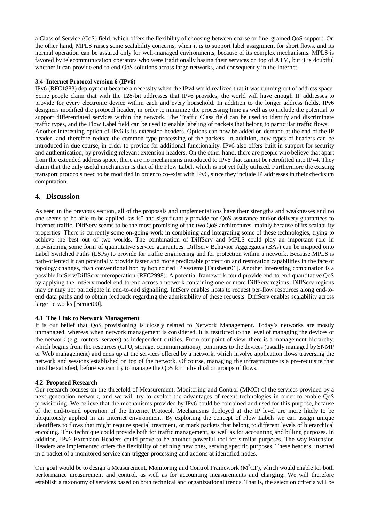a Class of Service (CoS) field, which offers the flexibility of choosing between coarse or fine–grained QoS support. On the other hand, MPLS raises some scalability concerns, when it is to support label assignment for short flows, and its normal operation can be assured only for well-managed environments, because of its complex mechanisms. MPLS is favored by telecommunication operators who were traditionally basing their services on top of ATM, but it is doubtful whether it can provide end-to-end QoS solutions across large networks, and consequently in the Internet.

#### **3.4 Internet Protocol version 6 (IPv6)**

IPv6 (RFC1883) deployment became a necessity when the IPv4 world realized that it was running out of address space. Some people claim that with the 128-bit addresses that IPv6 provides, the world will have enough IP addresses to provide for every electronic device within each and every household. In addition to the longer address fields, IPv6 designers modified the protocol header, in order to minimize the processing time as well as to include the potential to support differentiated services within the network. The Traffic Class field can be used to identify and discriminate traffic types, and the Flow Label field can be used to enable labeling of packets that belong to particular traffic flows. Another interesting option of IPv6 is its extension headers. Options can now be added on demand at the end of the IP header, and therefore reduce the common type processing of the packets. In addition, new types of headers can be introduced in due course, in order to provide for additional functionality. IPv6 also offers built in support for security and authentication, by providing relevant extension headers. On the other hand, there are people who believe that apart from the extended address space, there are no mechanisms introduced to IPv6 that cannot be retrofitted into IPv4. They claim that the only useful mechanism is that of the Flow Label, which is not yet fully utilized. Furthermore the existing transport protocols need to be modified in order to co-exist with IPv6, since they include IP addresses in their checksum computation.

## **4. Discussion**

As seen in the previous section, all of the proposals and implementations have their strengths and weaknesses and no one seems to be able to be applied "as is" and significantly provide for QoS assurance and/or delivery guarantees to Internet traffic. DiffServ seems to be the most promising of the two QoS architectures, mainly because of its scalability properties. There is currently some on-going work in combining and integrating some of these technologies, trying to achieve the best out of two worlds. The combination of DiffServ and MPLS could play an important role in provisioning some form of quantitative service guarantees. DiffServ Behavior Aggregates (BAs) can be mapped onto Label Switched Paths (LSPs) to provide for traffic engineering and for protection within a network. Because MPLS is path-oriented it can potentially provide faster and more predictable protection and restoration capabilities in the face of topology changes, than conventional hop by hop routed IP systems [Fausheur01]. Another interesting combination is a possible IntServ/DiffServ interoperation (RFC2998). A potential framework could provide end-to-end quantitative QoS by applying the IntServ model end-to-end across a network containing one or more DiffServ regions. DiffServ regions may or may not participate in end-to-end signalling. IntServ enables hosts to request per-flow resources along end-toend data paths and to obtain feedback regarding the admissibility of these requests. DiffServ enables scalability across large networks [Bernet00].

#### **4.1 The Link to Network Management**

It is our belief that QoS provisioning is closely related to Network Management. Today's networks are mostly unmanaged, whereas when network management is considered, it is restricted to the level of managing the devices of the network (e.g. routers, servers) as independent entities. From our point of view, there is a management hierarchy, which begins from the resources (CPU, storage, communications), continues to the devices (usually managed by SNMP or Web management) and ends up at the services offered by a network, which involve application flows traversing the network and sessions established on top of the network. Of course, managing the infrastructure is a pre-requisite that must be satisfied, before we can try to manage the QoS for individual or groups of flows.

#### **4.2 Proposed Research**

Our research focuses on the threefold of Measurement, Monitoring and Control (MMC) of the services provided by a next generation network, and we will try to exploit the advantages of recent technologies in order to enable QoS provisioning. We believe that the mechanisms provided by IPv6 could be combined and used for this purpose, because of the end-to-end operation of the Internet Protocol. Mechanisms deployed at the IP level are more likely to be ubiquitously applied in an Internet environment. By exploiting the concept of Flow Labels we can assign unique identifiers to flows that might require special treatment, or mark packets that belong to different levels of hierarchical encoding. This technique could provide both for traffic management, as well as for accounting and billing purposes. In addition, IPv6 Extension Headers could prove to be another powerful tool for similar purposes. The way Extension Headers are implemented offers the flexibility of defining new ones, serving specific purposes. These headers, inserted in a packet of a monitored service can trigger processing and actions at identified nodes.

Our goal would be to design a Measurement, Monitoring and Control Framework ( $M^2CF$ ), which would enable for both performance measurement and control, as well as for accounting measurements and charging. We will therefore establish a taxonomy of services based on both technical and organizational trends. That is, the selection criteria will be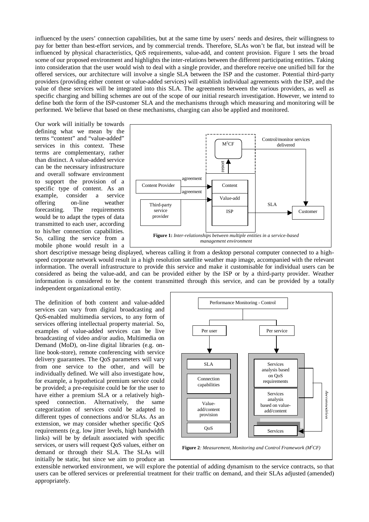influenced by the users' connection capabilities, but at the same time by users' needs and desires, their willingness to pay for better than best-effort services, and by commercial trends. Therefore, SLAs won't be flat, but instead will be influenced by physical characteristics, QoS requirements, value-add, and content provision. Figure 1 sets the broad scene of our proposed environment and highlights the inter-relations between the different participating entities. Taking into consideration that the user would wish to deal with a single provider, and therefore receive one unified bill for the offered services, our architecture will involve a single SLA between the ISP and the customer. Potential third-party providers (providing either content or value-added services) will establish individual agreements with the ISP, and the value of these services will be integrated into this SLA. The agreements between the various providers, as well as specific charging and billing schemes are out of the scope of our initial research investigation. However, we intend to define both the form of the ISP-customer SLA and the mechanisms through which measuring and monitoring will be performed. We believe that based on these mechanisms, charging can also be applied and monitored.

Our work will initially be towards defining what we mean by the terms "content" and "value-added" services in this context. These terms are complementary, rather than distinct. A value-added service can be the necessary infrastructure and overall software environment to support the provision of a specific type of content. As an example, consider a service offering on-line weather forecasting. The requirements would be to adapt the types of data transmitted to each user, according to his/her connection capabilities. So, calling the service from a mobile phone would result in a



short descriptive message being displayed, whereas calling it from a desktop personal computer connected to a highspeed corporate network would result in a high resolution satellite weather map image, accompanied with the relevant information. The overall infrastructure to provide this service and make it customisable for individual users can be considered as being the value-add, and can be provided either by the ISP or by a third-party provider. Weather information is considered to be the content transmitted through this service, and can be provided by a totally independent organizational entity.

The definition of both content and value-added services can vary from digital broadcasting and QoS-enabled multimedia services, to any form of services offering intellectual property material. So, examples of value-added services can be live broadcasting of video and/or audio, Multimedia on Demand (MoD), on-line digital libraries (e.g. online book-store), remote conferencing with service delivery guarantees. The QoS parameters will vary from one service to the other, and will be individually defined. We will also investigate how, for example, a hypothetical premium service could be provided; a pre-requisite could be for the user to have either a premium SLA or a relatively highspeed connection. Alternatively, the same categorization of services could be adapted to different types of connections and/or SLAs. As an extension, we may consider whether specific QoS requirements (e.g. low jitter levels, high bandwidth links) will be by default associated with specific services, or users will request QoS values, either on demand or through their SLA. The SLAs will initially be static, but since we aim to produce an



extensible networked environment, we will explore the potential of adding dynamism to the service contracts, so that users can be offered services or preferential treatment for their traffic on demand, and their SLAs adjusted (amended) appropriately.